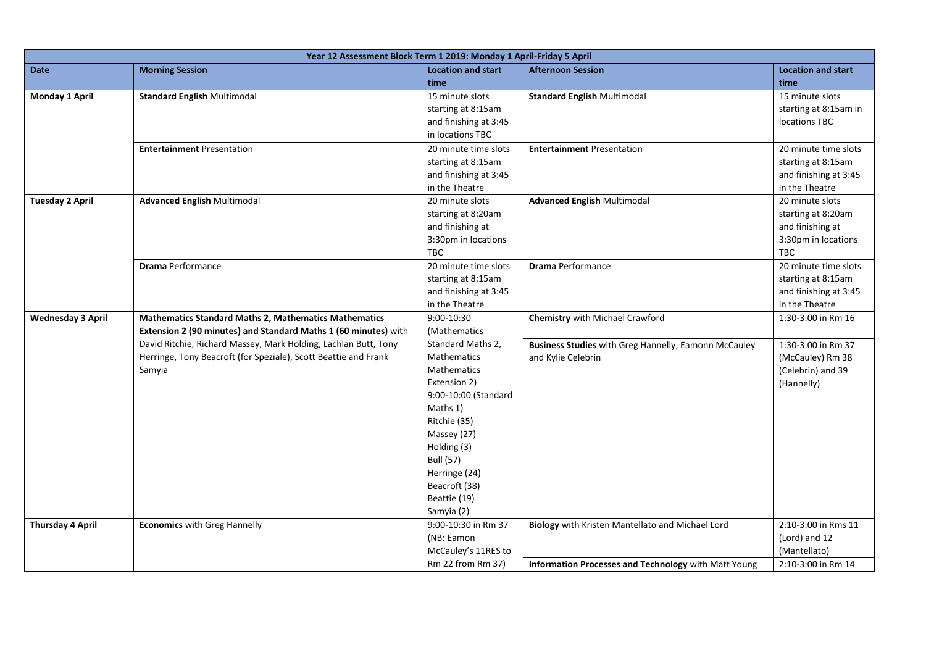| Year 12 Assessment Block Term 1 2019: Monday 1 April-Friday 5 April |                                                                 |                           |                                                      |                           |  |  |
|---------------------------------------------------------------------|-----------------------------------------------------------------|---------------------------|------------------------------------------------------|---------------------------|--|--|
| <b>Date</b>                                                         | <b>Morning Session</b>                                          | <b>Location and start</b> | <b>Afternoon Session</b>                             | <b>Location and start</b> |  |  |
|                                                                     |                                                                 | time                      |                                                      | time                      |  |  |
| Monday 1 April                                                      | <b>Standard English Multimodal</b>                              | 15 minute slots           | <b>Standard English Multimodal</b>                   | 15 minute slots           |  |  |
|                                                                     |                                                                 | starting at 8:15am        |                                                      | starting at 8:15am in     |  |  |
|                                                                     |                                                                 | and finishing at 3:45     |                                                      | locations TBC             |  |  |
|                                                                     |                                                                 | in locations TBC          |                                                      |                           |  |  |
|                                                                     | <b>Entertainment Presentation</b>                               | 20 minute time slots      | <b>Entertainment Presentation</b>                    | 20 minute time slots      |  |  |
|                                                                     |                                                                 | starting at 8:15am        |                                                      | starting at 8:15am        |  |  |
|                                                                     |                                                                 | and finishing at 3:45     |                                                      | and finishing at 3:45     |  |  |
|                                                                     |                                                                 | in the Theatre            |                                                      | in the Theatre            |  |  |
| <b>Tuesday 2 April</b>                                              | <b>Advanced English Multimodal</b>                              | 20 minute slots           | <b>Advanced English Multimodal</b>                   | 20 minute slots           |  |  |
|                                                                     |                                                                 | starting at 8:20am        |                                                      | starting at 8:20am        |  |  |
|                                                                     |                                                                 | and finishing at          |                                                      | and finishing at          |  |  |
|                                                                     |                                                                 | 3:30pm in locations       |                                                      | 3:30pm in locations       |  |  |
|                                                                     |                                                                 | <b>TBC</b>                |                                                      | <b>TBC</b>                |  |  |
|                                                                     | <b>Drama Performance</b>                                        | 20 minute time slots      | <b>Drama Performance</b>                             | 20 minute time slots      |  |  |
|                                                                     |                                                                 | starting at 8:15am        |                                                      | starting at 8:15am        |  |  |
|                                                                     |                                                                 | and finishing at 3:45     |                                                      | and finishing at 3:45     |  |  |
|                                                                     |                                                                 | in the Theatre            |                                                      | in the Theatre            |  |  |
| <b>Wednesday 3 April</b>                                            | <b>Mathematics Standard Maths 2, Mathematics Mathematics</b>    | 9:00-10:30                | <b>Chemistry with Michael Crawford</b>               | 1:30-3:00 in Rm 16        |  |  |
|                                                                     | Extension 2 (90 minutes) and Standard Maths 1 (60 minutes) with | (Mathematics              |                                                      |                           |  |  |
|                                                                     | David Ritchie, Richard Massey, Mark Holding, Lachlan Butt, Tony | Standard Maths 2,         | Business Studies with Greg Hannelly, Eamonn McCauley | 1:30-3:00 in Rm 37        |  |  |
|                                                                     | Herringe, Tony Beacroft (for Speziale), Scott Beattie and Frank | Mathematics               | and Kylie Celebrin                                   | (McCauley) Rm 38          |  |  |
|                                                                     | Samyia                                                          | <b>Mathematics</b>        |                                                      | (Celebrin) and 39         |  |  |
|                                                                     |                                                                 | Extension 2)              |                                                      | (Hannelly)                |  |  |
|                                                                     |                                                                 | 9:00-10:00 (Standard      |                                                      |                           |  |  |
|                                                                     |                                                                 | Maths 1)                  |                                                      |                           |  |  |
|                                                                     |                                                                 | Ritchie (35)              |                                                      |                           |  |  |
|                                                                     |                                                                 | Massey (27)               |                                                      |                           |  |  |
|                                                                     |                                                                 | Holding (3)               |                                                      |                           |  |  |
|                                                                     |                                                                 | <b>Bull (57)</b>          |                                                      |                           |  |  |
|                                                                     |                                                                 | Herringe (24)             |                                                      |                           |  |  |
|                                                                     |                                                                 | Beacroft (38)             |                                                      |                           |  |  |
|                                                                     |                                                                 | Beattie (19)              |                                                      |                           |  |  |
|                                                                     |                                                                 | Samyia (2)                |                                                      |                           |  |  |
| <b>Thursday 4 April</b>                                             | <b>Economics with Greg Hannelly</b>                             | 9:00-10:30 in Rm 37       | Biology with Kristen Mantellato and Michael Lord     | 2:10-3:00 in Rms 11       |  |  |
|                                                                     |                                                                 | (NB: Eamon                |                                                      | (Lord) and 12             |  |  |
|                                                                     |                                                                 | McCauley's 11RES to       |                                                      | (Mantellato)              |  |  |
|                                                                     |                                                                 | Rm 22 from Rm 37)         | Information Processes and Technology with Matt Young | 2:10-3:00 in Rm 14        |  |  |